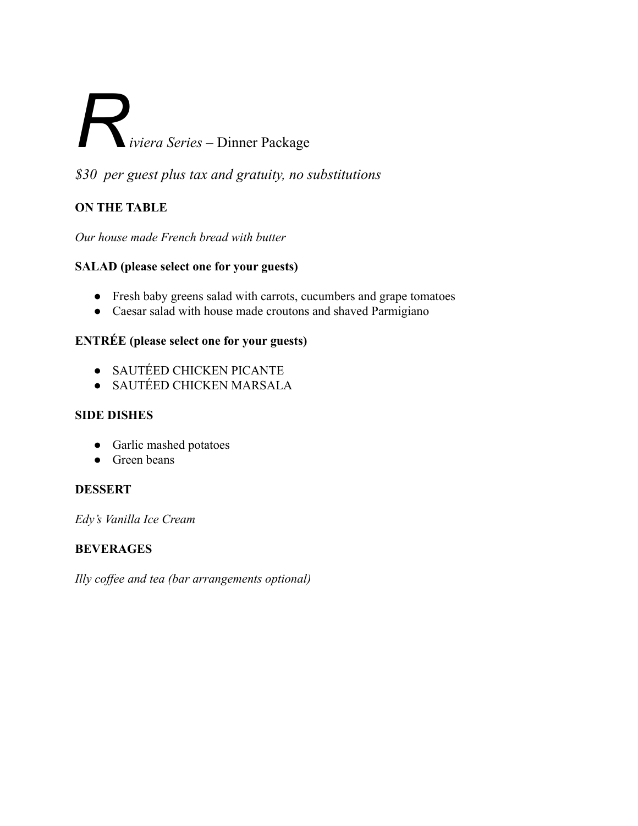# *Riviera Series* – Dinner Package

*\$30 per guest plus tax and gratuity, no substitutions*

# **ON THE TABLE**

*Our house made French bread with butter*

# **SALAD (please select one for your guests)**

- Fresh baby greens salad with carrots, cucumbers and grape tomatoes
- Caesar salad with house made croutons and shaved Parmigiano

# **ENTRÉE (please select one for your guests)**

- SAUTÉED CHICKEN PICANTE
- SAUTÉED CHICKEN MARSALA

### **SIDE DISHES**

- Garlic mashed potatoes
- **●** Green beans

### **DESSERT**

*Edy's Vanilla Ice Cream*

# **BEVERAGES**

*Illy coffee and tea (bar arrangements optional)*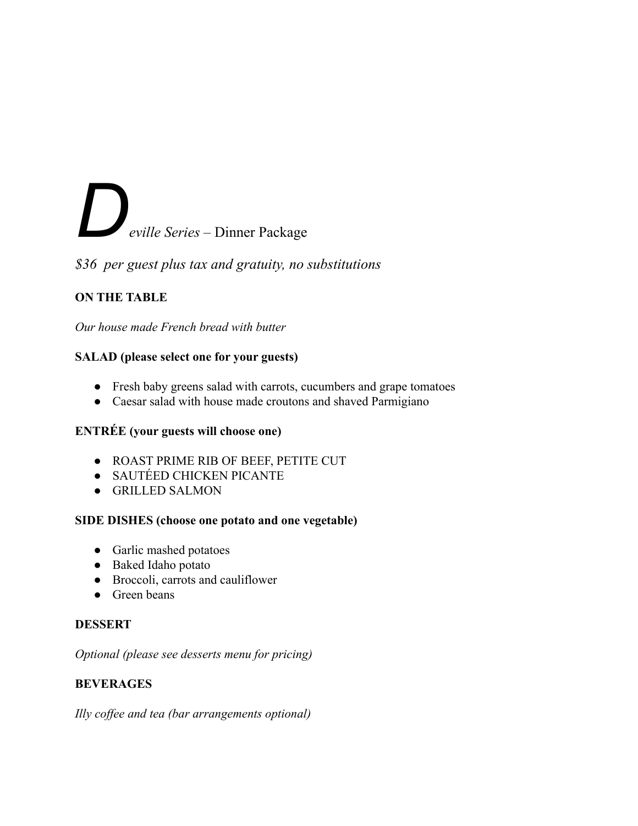# *Deville Series* – Dinner Package

*\$36 per guest plus tax and gratuity, no substitutions*

# **ON THE TABLE**

*Our house made French bread with butter*

# **SALAD (please select one for your guests)**

- Fresh baby greens salad with carrots, cucumbers and grape tomatoes
- Caesar salad with house made croutons and shaved Parmigiano

# **ENTRÉE (your guests will choose one)**

- ROAST PRIME RIB OF BEEF, PETITE CUT
- SAUTÉED CHICKEN PICANTE
- GRILLED SALMON

### **SIDE DISHES (choose one potato and one vegetable)**

- Garlic mashed potatoes
- Baked Idaho potato
- Broccoli, carrots and cauliflower
- **●** Green beans

### **DESSERT**

*Optional (please see desserts menu for pricing)*

# **BEVERAGES**

*Illy coffee and tea (bar arrangements optional)*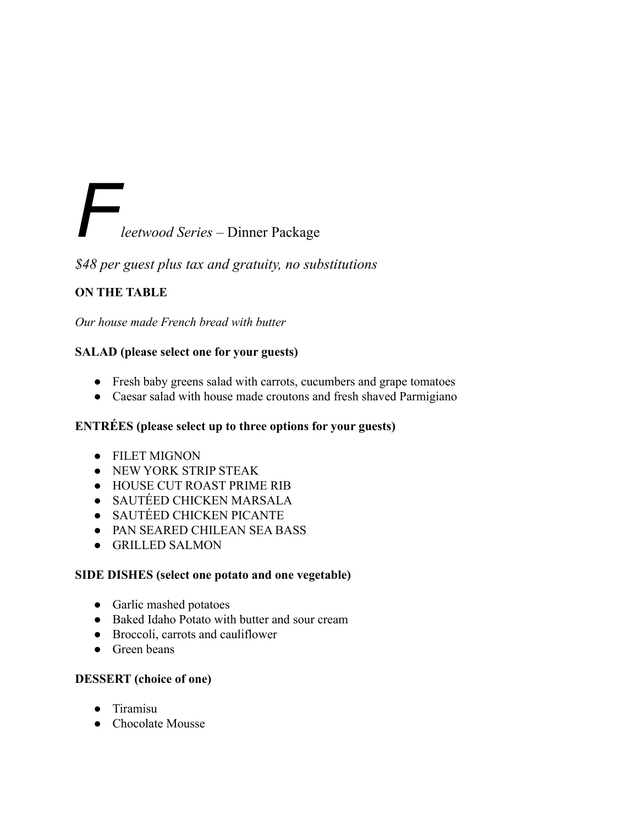# *Fleetwood Series* – Dinner Package

*\$48 per guest plus tax and gratuity, no substitutions*

# **ON THE TABLE**

*Our house made French bread with butter*

### **SALAD (please select one for your guests)**

- Fresh baby greens salad with carrots, cucumbers and grape tomatoes
- Caesar salad with house made croutons and fresh shaved Parmigiano

# **ENTRÉES (please select up to three options for your guests)**

- FILET MIGNON
- NEW YORK STRIP STEAK
- HOUSE CUT ROAST PRIME RIB
- *●* SAUTÉED CHICKEN MARSALA
- *●* SAUTÉED CHICKEN PICANTE
- *●* PAN SEARED CHILEAN SEA BASS
- *●* GRILLED SALMON

### **SIDE DISHES (select one potato and one vegetable)**

- Garlic mashed potatoes
- Baked Idaho Potato with butter and sour cream
- Broccoli, carrots and cauliflower
- **●** Green beans

# **DESSERT (choice of one)**

- *●* Tiramisu
- *●* Chocolate Mousse